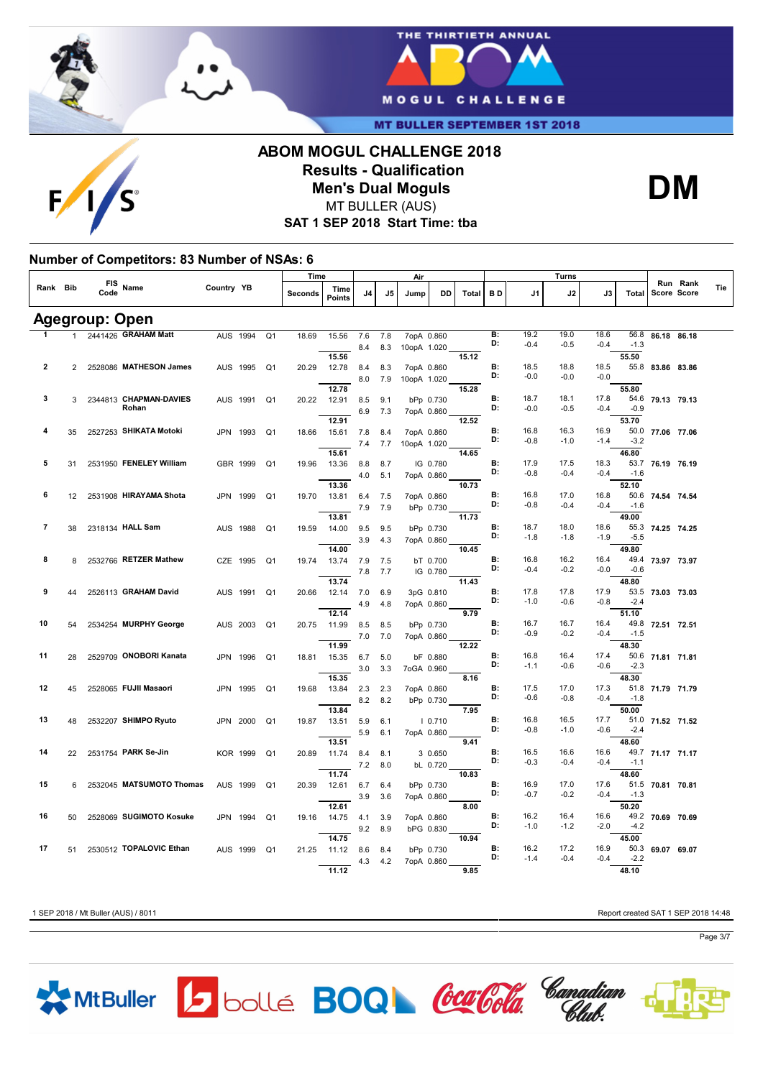

 $\mathsf{F}$ 



**MT BULLER SEPTEMBER 1ST 2018** 

### **ABOM MOGUL CHALLENGE 2018 Results - Qualification Men's Dual Moguls** MT BULLER (AUS)

**SAT 1 SEP 2018 Start Time: tba**

### **Number of Competitors: 83 Number of NSAs: 6**

|    |                |                       | Name                            |            |          |                | Time    |                       |     |     | Air         |            |       |                 |                | Turns          |                |               |                  | Run Rank    |     |
|----|----------------|-----------------------|---------------------------------|------------|----------|----------------|---------|-----------------------|-----|-----|-------------|------------|-------|-----------------|----------------|----------------|----------------|---------------|------------------|-------------|-----|
|    | Rank Bib       | <b>FIS</b><br>Code    |                                 | Country YB |          |                | Seconds | Time<br><b>Points</b> | J4  | J5  | Jump        | DD         | Total | BD              | J1             | J2             | J3             | Total         |                  | Score Score | Tie |
|    |                | <b>Agegroup: Open</b> |                                 |            |          |                |         |                       |     |     |             |            |       |                 |                |                |                |               |                  |             |     |
|    |                |                       | 2441426 GRAHAM Matt             |            | AUS 1994 | Q <sub>1</sub> | 18.69   | 15.56                 | 7.6 | 7.8 |             | 7opA 0.860 |       | B:              | 19.2           | 19.0           | 18.6           | 56.8          | 86.18            | 86.18       |     |
|    |                |                       |                                 |            |          |                |         |                       | 8.4 | 8.3 | 10opA 1.020 |            |       | D:              | $-0.4$         | $-0.5$         | $-0.4$         | $-1.3$        |                  |             |     |
|    |                |                       |                                 |            |          |                |         | 15.56                 |     |     |             |            | 15.12 |                 |                |                |                | 55.50         |                  |             |     |
| 2  | $\overline{2}$ |                       | 2528086 MATHESON James          |            | AUS 1995 | Q <sub>1</sub> | 20.29   | 12.78                 | 8.4 | 8.3 |             | 7opA 0.860 |       | B:<br>D:        | 18.5           | 18.8           | 18.5           |               | 55.8 83.86 83.86 |             |     |
|    |                |                       |                                 |            |          |                |         |                       | 8.0 | 7.9 | 10opA 1.020 |            |       |                 | $-0.0$         | $-0.0$         | $-0.0$         |               |                  |             |     |
|    |                |                       |                                 |            |          |                |         | 12.78                 |     |     |             |            | 15.28 |                 |                |                |                | 55.80         |                  |             |     |
| 3  | 3              |                       | 2344813 CHAPMAN-DAVIES<br>Rohan |            | AUS 1991 | Q <sub>1</sub> | 20.22   | 12.91                 | 8.5 | 9.1 |             | bPp 0.730  |       | B:<br>D:        | 18.7<br>$-0.0$ | 18.1<br>$-0.5$ | 17.8<br>$-0.4$ | $-0.9$        | 54.6 79.13 79.13 |             |     |
|    |                |                       |                                 |            |          |                |         | 12.91                 | 6.9 | 7.3 |             | 7opA 0.860 | 12.52 |                 |                |                |                | 53.70         |                  |             |     |
| 4  | 35             |                       | 2527253 SHIKATA Motoki          |            | JPN 1993 | Q <sub>1</sub> | 18.66   | 15.61                 | 7.8 | 8.4 |             | 7opA 0.860 |       | B:              | 16.8           | 16.3           | 16.9           |               | 50.0 77.06 77.06 |             |     |
|    |                |                       |                                 |            |          |                |         |                       | 7.4 | 7.7 | 10opA 1.020 |            |       | D:              | $-0.8$         | $-1.0$         | $-1.4$         | $-3.2$        |                  |             |     |
|    |                |                       |                                 |            |          |                |         | 15.61                 |     |     |             |            | 14.65 |                 |                |                |                | 46.80         |                  |             |     |
| 5  | 31             |                       | 2531950 FENELEY William         |            | GBR 1999 | Q <sub>1</sub> | 19.96   | 13.36                 | 8.8 | 8.7 |             | IG 0.780   |       | B:              | 17.9           | 17.5           | 18.3           |               | 53.7 76.19 76.19 |             |     |
|    |                |                       |                                 |            |          |                |         |                       | 4.0 | 5.1 |             | 7opA 0.860 |       | D:              | $-0.8$         | $-0.4$         | $-0.4$         | $-1.6$        |                  |             |     |
|    |                |                       |                                 |            |          |                |         | 13.36                 |     |     |             |            | 10.73 |                 |                |                |                | 52.10         |                  |             |     |
| 6  | 12             |                       | 2531908 HIRAYAMA Shota          |            | JPN 1999 | Q <sub>1</sub> | 19.70   | 13.81                 | 6.4 | 7.5 |             | 7opA 0.860 |       | B:              | 16.8           | 17.0           | 16.8           | 50.6          | 74.54 74.54      |             |     |
|    |                |                       |                                 |            |          |                |         |                       | 7.9 | 7.9 |             | bPp 0.730  |       | D:              | $-0.8$         | $-0.4$         | $-0.4$         | $-1.6$        |                  |             |     |
|    |                |                       |                                 |            |          |                |         | 13.81                 |     |     |             |            | 11.73 |                 |                |                |                | 49.00         |                  |             |     |
| 7  | 38             |                       | 2318134 HALL Sam                |            | AUS 1988 | Q <sub>1</sub> | 19.59   | 14.00                 | 9.5 | 9.5 |             | bPp 0.730  |       | <b>B:</b><br>D: | 18.7           | 18.0           | 18.6           | 55.3          | 74.25 74.25      |             |     |
|    |                |                       |                                 |            |          |                |         |                       | 3.9 | 4.3 |             | 7opA 0.860 |       |                 | $-1.8$         | $-1.8$         | $-1.9$         | $-5.5$        |                  |             |     |
|    |                |                       |                                 |            |          |                |         | 14.00                 |     |     |             |            | 10.45 | <b>B:</b>       |                |                |                | 49.80         |                  |             |     |
| 8  | 8              |                       | 2532766 RETZER Mathew           |            | CZE 1995 | Q <sub>1</sub> | 19.74   | 13.74                 | 7.9 | 7.5 |             | bT 0.700   |       | D:              | 16.8<br>$-0.4$ | 16.2<br>$-0.2$ | 16.4<br>$-0.0$ | $-0.6$        | 49.4 73.97 73.97 |             |     |
|    |                |                       |                                 |            |          |                |         | 13.74                 | 7.8 | 7.7 |             | IG 0.780   | 11.43 |                 |                |                |                | 48.80         |                  |             |     |
| 9  | 44             |                       | 2526113 GRAHAM David            |            | AUS 1991 | Q <sub>1</sub> | 20.66   | 12.14                 | 7.0 | 6.9 |             | 3pG 0.810  |       | <b>B:</b>       | 17.8           | 17.8           | 17.9           | 53.5          | 73.03 73.03      |             |     |
|    |                |                       |                                 |            |          |                |         |                       | 4.9 | 4.8 |             | 7opA 0.860 |       | D:              | $-1.0$         | $-0.6$         | $-0.8$         | $-2.4$        |                  |             |     |
|    |                |                       |                                 |            |          |                |         | 12.14                 |     |     |             |            | 9.79  |                 |                |                |                | 51.10         |                  |             |     |
| 10 | 54             |                       | 2534254 MURPHY George           |            | AUS 2003 | Q <sub>1</sub> | 20.75   | 11.99                 | 8.5 | 8.5 |             | bPp 0.730  |       | <b>B:</b>       | 16.7           | 16.7           | 16.4           | 49.8          | 72.51 72.51      |             |     |
|    |                |                       |                                 |            |          |                |         |                       | 7.0 | 7.0 |             | 7opA 0.860 |       | D:              | $-0.9$         | $-0.2$         | $-0.4$         | $-1.5$        |                  |             |     |
|    |                |                       |                                 |            |          |                |         | 11.99                 |     |     |             |            | 12.22 |                 |                |                |                | 48.30         |                  |             |     |
| 11 | 28             |                       | 2529709 ONOBORI Kanata          |            | JPN 1996 | Q <sub>1</sub> | 18.81   | 15.35                 | 6.7 | 5.0 |             | bF 0.880   |       | <b>B:</b>       | 16.8           | 16.4           | 17.4           | 50.6          | 71.81 71.81      |             |     |
|    |                |                       |                                 |            |          |                |         |                       | 3.0 | 3.3 |             | 7oGA 0.960 |       | D:              | $-1.1$         | $-0.6$         | $-0.6$         | $-2.3$        |                  |             |     |
|    |                |                       |                                 |            |          |                |         | 15.35                 |     |     |             |            | 8.16  |                 |                |                |                | 48.30         |                  |             |     |
| 12 | 45             |                       | 2528065 FUJII Masaori           | JPN        | 1995     | Q <sub>1</sub> | 19.68   | 13.84                 | 2.3 | 2.3 |             | 7opA 0.860 |       | <b>B:</b><br>D: | 17.5           | 17.0           | 17.3           | 51.8          | 71.79 71.79      |             |     |
|    |                |                       |                                 |            |          |                |         |                       | 8.2 | 8.2 |             | bPp 0.730  |       |                 | $-0.6$         | $-0.8$         | $-0.4$         | $-1.8$        |                  |             |     |
| 13 |                |                       | 2532207 SHIMPO Ryuto            |            |          |                |         | 13.84                 |     |     |             |            | 7.95  | <b>B:</b>       | 16.8           | 16.5           | 17.7           | 50.00<br>51.0 |                  |             |     |
|    | 48             |                       |                                 |            | JPN 2000 | Q <sub>1</sub> | 19.87   | 13.51                 | 5.9 | 6.1 |             | 10.710     |       | D:              | $-0.8$         | $-1.0$         | $-0.6$         | $-2.4$        | 71.52 71.52      |             |     |
|    |                |                       |                                 |            |          |                |         | 13.51                 | 5.9 | 6.1 |             | 7opA 0.860 | 9.41  |                 |                |                |                | 48.60         |                  |             |     |
| 14 | 22             |                       | 2531754 PARK Se Jin             |            | KOR 1999 | Q <sub>1</sub> | 20.89   | 11.74                 | 8.4 | 8.1 |             | 3 0.650    |       | B:              | 16.5           | 16.6           | 16.6           | 49.7          | 71.17 71.17      |             |     |
|    |                |                       |                                 |            |          |                |         |                       | 7.2 | 8.0 |             | bL 0.720   |       | D:              | $-0.3$         | $-0.4$         | $-0.4$         | $-1.1$        |                  |             |     |
|    |                |                       |                                 |            |          |                |         | 11.74                 |     |     |             |            | 10.83 |                 |                |                |                | 48.60         |                  |             |     |
| 15 | 6              |                       | 2532045 MATSUMOTO Thomas        | <b>AUS</b> | 1999     | Q <sub>1</sub> | 20.39   | 12.61                 | 6.7 | 6.4 |             | bPp 0.730  |       | B:              | 16.9           | 17.0           | 17.6           | 51.5          | 70.81 70.81      |             |     |
|    |                |                       |                                 |            |          |                |         |                       | 3.9 | 3.6 |             | 7opA 0.860 |       | D:              | $-0.7$         | $-0.2$         | $-0.4$         | $-1.3$        |                  |             |     |
|    |                |                       |                                 |            |          |                |         | 12.61                 |     |     |             |            | 8.00  |                 |                |                |                | 50.20         |                  |             |     |
| 16 | 50             |                       | 2528069 SUGIMOTO Kosuke         | JPN        | 1994     | Q <sub>1</sub> | 19.16   | 14.75                 | 4.1 | 3.9 |             | 7opA 0.860 |       | B:              | 16.2           | 16.4           | 16.6           |               | 49.2 70.69 70.69 |             |     |
|    |                |                       |                                 |            |          |                |         |                       | 9.2 | 8.9 |             | bPG 0.830  |       | D:              | $-1.0$         | $-1.2$         | $-2.0$         | $-4.2$        |                  |             |     |
|    |                |                       |                                 |            |          |                |         | 14.75                 |     |     |             |            | 10.94 |                 |                |                |                | 45.00         |                  |             |     |
| 17 | 51             |                       | 2530512 TOPALOVIC Ethan         | <b>AUS</b> | 1999     | Q <sub>1</sub> | 21.25   | 11.12                 | 8.6 | 8.4 |             | bPp 0.730  |       | B:<br>D:        | 16.2<br>$-1.4$ | 17.2<br>$-0.4$ | 16.9           | 50.3          | 69.07            | 69.07       |     |
|    |                |                       |                                 |            |          |                |         |                       | 4.3 | 4.2 |             | 7opA 0.860 |       |                 |                |                | $-0.4$         | $-2.2$        |                  |             |     |
|    |                |                       |                                 |            |          |                |         | 11.12                 |     |     |             |            | 9.85  |                 |                |                |                | 48.10         |                  |             |     |

1 SEP 2018 / Mt Buller (AUS) / 8011 Report created SAT 1 SEP 2018 14:48

**DM**









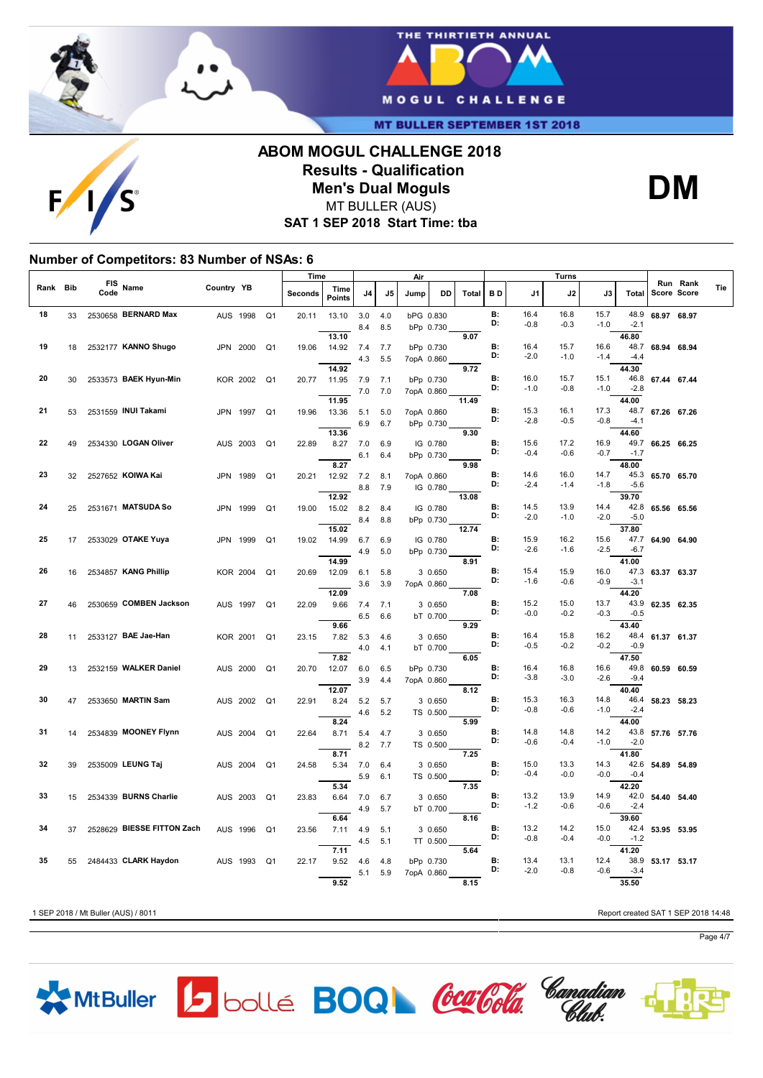

 $F/1$ 



**MT BULLER SEPTEMBER 1ST 2018** 

## **ABOM MOGUL CHALLENGE 2018 Results - Qualification Men's Dual Moguls** MT BULLER (AUS)



**SAT 1 SEP 2018 Start Time: tba**

#### **Number of Competitors: 83 Number of NSAs: 6**

|      |            |             |                            |                 |      |                | Time    |                       |            |            | Air        |                       |       |                 |                | <b>Turns</b>   |                |                         |                  |                         |     |
|------|------------|-------------|----------------------------|-----------------|------|----------------|---------|-----------------------|------------|------------|------------|-----------------------|-------|-----------------|----------------|----------------|----------------|-------------------------|------------------|-------------------------|-----|
| Rank | <b>Bib</b> | FIS<br>Code | Name                       | Country YB      |      |                | Seconds | Time<br><b>Points</b> | J4         | J5         | Jump       | DD                    | Total | BD              | J1             | J2             | J3             | Total                   |                  | Run Rank<br>Score Score | Tie |
| 18   | 33         |             | 2530658 BERNARD Max        | AUS 1998        |      | Q <sub>1</sub> | 20.11   | 13.10                 | 3.0<br>8.4 | 4.0<br>8.5 | bPG 0.830  | bPp 0.730             |       | B:<br>D:        | 16.4<br>$-0.8$ | 16.8<br>$-0.3$ | 15.7<br>$-1.0$ | 48.9<br>$-2.1$          | 68.97 68.97      |                         |     |
| 19   | 18         |             | 2532177 KANNO Shugo        | JPN 2000        |      | Q <sub>1</sub> | 19.06   | 13.10<br>14.92        | 7.4<br>4.3 | 7.7<br>5.5 |            | bPp 0.730             | 9.07  | B:<br>D:        | 16.4<br>$-2.0$ | 15.7<br>$-1.0$ | 16.6<br>$-1.4$ | 46.80<br>$-4.4$         | 48.7 68.94 68.94 |                         |     |
| 20   | 30         |             | 2533573 BAEK Hyun-Min      | <b>KOR 2002</b> |      | Q1             | 20.77   | 14.92<br>11.95        | 7.9        | 7.1        | 7opA 0.860 | bPp 0.730             | 9.72  | B:              | 16.0           | 15.7           | 15.1           | 44.30                   | 46.8 67.44 67.44 |                         |     |
| 21   |            |             | 2531559 INUI Takami        |                 |      |                |         | 11.95                 | 7.0        | 7.0        | 7opA 0.860 |                       | 11.49 | D:<br>B:        | $-1.0$<br>15.3 | $-0.8$<br>16.1 | $-1.0$<br>17.3 | $-2.8$<br>44.00<br>48.7 |                  |                         |     |
|      | 53         |             |                            | JPN 1997        |      | Q <sub>1</sub> | 19.96   | 13.36<br>13.36        | 5.1<br>6.9 | 5.0<br>6.7 | 7opA 0.860 | bPp 0.730             | 9.30  | D:              | $-2.8$         | $-0.5$         | $-0.8$         | $-4.1$<br>44.60         | 67.26 67.26      |                         |     |
| 22   | 49         |             | 2534330 LOGAN Oliver       | AUS 2003        |      | Q <sub>1</sub> | 22.89   | 8.27                  | 7.0<br>6.1 | 6.9<br>6.4 |            | IG 0.780<br>bPp 0.730 |       | <b>B:</b><br>D: | 15.6<br>$-0.4$ | 17.2<br>$-0.6$ | 16.9<br>$-0.7$ | 49.7<br>$-1.7$          | 66.25 66.25      |                         |     |
| 23   | 32         |             | 2527652 KOIWA Kai          | JPN 1989        |      | Q <sub>1</sub> | 20.21   | 8.27<br>12.92         | 7.2<br>8.8 | 8.1<br>7.9 | 7opA 0.860 | IG 0.780              | 9.98  | B:<br>D:        | 14.6<br>$-2.4$ | 16.0<br>$-1.4$ | 14.7<br>-1.8   | 48.00<br>45.3<br>$-5.6$ | 65.70 65.70      |                         |     |
| 24   | 25         |             | 2531671 MATSUDA So         | JPN             | 1999 | Q <sub>1</sub> | 19.00   | 12.92<br>15.02        | 8.2        | 8.4        |            | IG 0.780              | 13.08 | <b>B:</b><br>D: | 14.5<br>$-2.0$ | 13.9<br>$-1.0$ | 14.4<br>$-2.0$ | 39.70<br>42.8<br>$-5.0$ | 65.56 65.56      |                         |     |
| 25   | 17         |             | 2533029 OTAKE Yuya         | JPN 1999        |      | Q <sub>1</sub> | 19.02   | 15.02<br>14.99        | 8.4<br>6.7 | 8.8<br>6.9 |            | bPp 0.730<br>IG 0.780 | 12.74 | B:              | 15.9           | 16.2           | 15.6           | 37.80<br>47.7           | 64.90 64.90      |                         |     |
|      |            |             |                            |                 |      |                |         | 14.99                 | 4.9        | 5.0        |            | bPp 0.730             | 8.91  | D:<br>B:        | $-2.6$         | $-1.6$         | $-2.5$         | $-6.7$<br>41.00         |                  |                         |     |
| 26   | 16         |             | 2534857 KANG Phillip       | <b>KOR 2004</b> |      | Q1             | 20.69   | 12.09<br>12.09        | 6.1<br>3.6 | 5.8<br>3.9 | 7opA 0.860 | 3 0.650               | 7.08  | D:              | 15.4<br>$-1.6$ | 15.9<br>$-0.6$ | 16.0<br>$-0.9$ | $-3.1$<br>44.20         | 47.3 63.37 63.37 |                         |     |
| 27   | 46         |             | 2530659 COMBEN Jackson     | AUS 1997        |      | Q <sub>1</sub> | 22.09   | 9.66                  | 7.4<br>6.5 | 7.1<br>6.6 |            | 3 0.650<br>bT 0.700   |       | B:<br>D:        | 15.2<br>$-0.0$ | 15.0<br>$-0.2$ | 13.7<br>$-0.3$ | 43.9<br>$-0.5$          | 62.35 62.35      |                         |     |
| 28   | 11         |             | 2533127 BAE Jae-Han        | KOR 2001        |      | Q <sub>1</sub> | 23.15   | 9.66<br>7.82          | 5.3<br>4.0 | 4.6<br>4.1 |            | 3 0.650<br>bT 0.700   | 9.29  | B:<br>D:        | 16.4<br>$-0.5$ | 15.8<br>$-0.2$ | 16.2<br>$-0.2$ | 43.40<br>48.4<br>$-0.9$ | 61.37 61.37      |                         |     |
| 29   | 13         |             | 2532159 WALKER Daniel      | AUS 2000        |      | Q <sub>1</sub> | 20.70   | 7.82<br>12.07         | 6.0        | 6.5        |            | bPp 0.730             | 6.05  | В:<br>D:        | 16.4           | 16.8           | 16.6           | 47.50<br>49.8           | 60.59 60.59      |                         |     |
| 30   | 47         |             | 2533650 MARTIN Sam         | AUS 2002        |      | Q1             | 22.91   | 12.07<br>8.24         | 3.9<br>5.2 | 4.4<br>5.7 | 7opA 0.860 | 3 0.650               | 8.12  | B:              | $-3.8$<br>15.3 | $-3.0$<br>16.3 | $-2.6$<br>14.8 | $-9.4$<br>40.40<br>46.4 | 58.23 58.23      |                         |     |
|      |            |             |                            |                 |      |                |         | 8.24                  | 4.6        | 5.2        |            | TS 0.500              | 5.99  | D:              | $-0.8$         | $-0.6$         | $-1.0$         | $-2.4$<br>44.00         |                  |                         |     |
| 31   | 14         |             | 2534839 MOONEY Flynn       | AUS 2004        |      | Q <sub>1</sub> | 22.64   | 8.71<br>8.71          | 5.4<br>8.2 | 4.7<br>7.7 |            | 3 0.650<br>TS 0.500   | 7.25  | B:<br>D:        | 14.8<br>$-0.6$ | 14.8<br>$-0.4$ | 14.2<br>$-1.0$ | 43.8<br>$-2.0$<br>41.80 | 57.76 57.76      |                         |     |
| 32   | 39         |             | 2535009 LEUNG Taj          | AUS 2004        |      | Q <sub>1</sub> | 24.58   | 5.34                  | 7.0<br>5.9 | 6.4<br>6.1 |            | 3 0.650<br>TS 0.500   |       | B:<br>D:        | 15.0<br>$-0.4$ | 13.3<br>$-0.0$ | 14.3<br>$-0.0$ | $-0.4$                  | 42.6 54.89 54.89 |                         |     |
| 33   | 15         |             | 2534339 BURNS Charlie      | AUS 2003        |      | Q <sub>1</sub> | 23.83   | 5.34<br>6.64          | 7.0<br>4.9 | 6.7<br>5.7 |            | 3 0.650<br>bT 0.700   | 7.35  | B:<br>D:        | 13.2<br>$-1.2$ | 13.9<br>$-0.6$ | 14.9<br>$-0.6$ | 42.20<br>42.0<br>$-2.4$ | 54.40 54.40      |                         |     |
| 34   | 37         |             | 2528629 BIESSE FITTON Zach | AUS 1996        |      | Q <sub>1</sub> | 23.56   | 6.64<br>7.11          | 4.9        | 5.1        |            | 3 0.650               | 8.16  | B:<br>D:        | 13.2<br>$-0.8$ | 14.2           | 15.0           | 39.60<br>42.4           | 53.95 53.95      |                         |     |
| 35   | 55         |             | 2484433 CLARK Haydon       | AUS 1993        |      | Q <sub>1</sub> | 22.17   | 7.11<br>9.52          | 4.5<br>4.6 | 5.1<br>4.8 |            | TT 0.500<br>bPp 0.730 | 5.64  | В:              | 13.4           | $-0.4$<br>13.1 | $-0.0$<br>12.4 | $-1.2$<br>41.20<br>38.9 | 53.17 53.17      |                         |     |
|      |            |             |                            |                 |      |                |         | 9.52                  | 5.1        | 5.9        | 7opA 0.860 |                       | 8.15  | D:              | $-2.0$         | $-0.8$         | $-0.6$         | $-3.4$<br>35.50         |                  |                         |     |

1 SEP 2018 / Mt Buller (AUS) / 8011 Report created SAT 1 SEP 2018 14:48



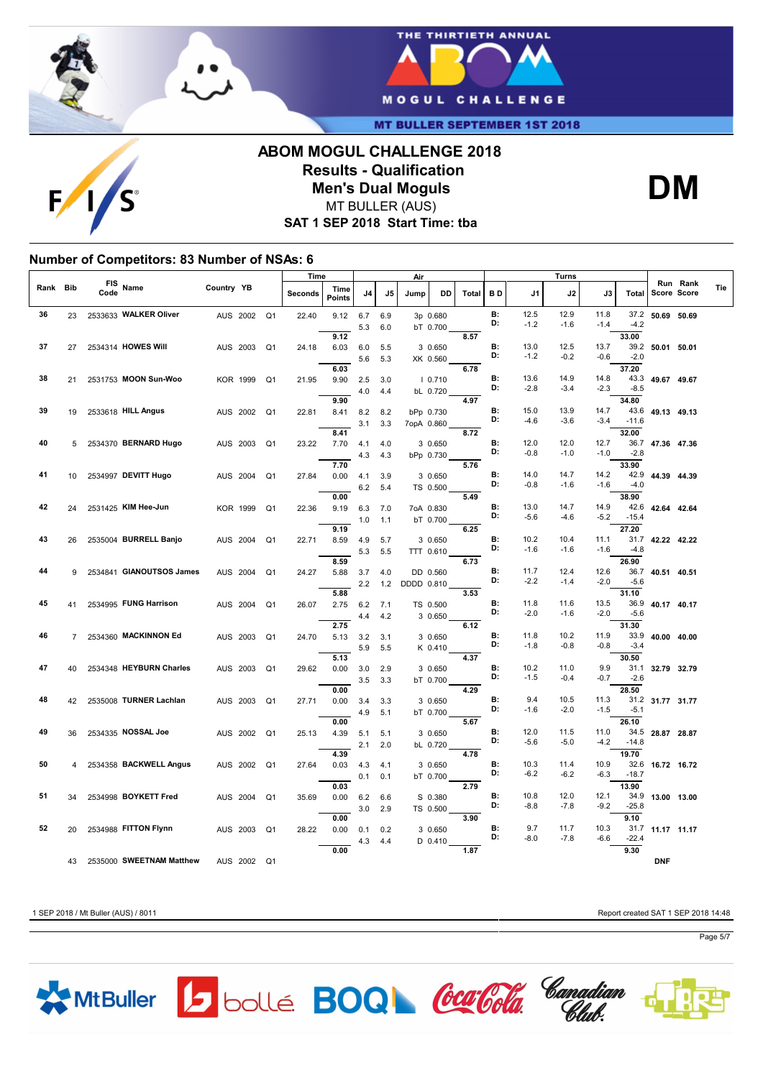

 $F/1$ 



**MT BULLER SEPTEMBER 1ST 2018** 

# **ABOM MOGUL CHALLENGE 2018 Results - Qualification Men's Dual Moguls** MT BULLER (AUS)

**DM**

**SAT 1 SEP 2018 Start Time: tba**

### **Number of Competitors: 83 Number of NSAs: 6**

|          |    |                    |                          |                 | Time<br>Air    |                |         |                       |            | Turns      |            |                      |              |                 |                |                |                |                |                    |          |     |
|----------|----|--------------------|--------------------------|-----------------|----------------|----------------|---------|-----------------------|------------|------------|------------|----------------------|--------------|-----------------|----------------|----------------|----------------|----------------|--------------------|----------|-----|
| Rank Bib |    | <b>FIS</b><br>Code | Name                     | Country YB      |                |                | Seconds | Time<br><b>Points</b> | J4         | J5         | Jump       | DD                   | <b>Total</b> | BD              | J1             | J2             | J3             | <b>Total</b>   | <b>Score Score</b> | Run Rank | Tie |
| 36       | 23 |                    | 2533633 WALKER Oliver    | AUS 2002        |                | Q <sub>1</sub> | 22.40   | 9.12                  | 6.7<br>5.3 | 6.9<br>6.0 |            | 3p 0.680<br>bT 0.700 |              | B:<br>D:        | 12.5<br>$-1.2$ | 12.9<br>$-1.6$ | 11.8<br>$-1.4$ | 37.2<br>$-4.2$ | 50.69 50.69        |          |     |
|          |    |                    |                          |                 |                |                |         | 9.12                  |            |            |            |                      | 8.57         |                 |                |                |                | 33.00          |                    |          |     |
| 37       | 27 |                    | 2534314 HOWES Will       | AUS 2003        |                | Q1             | 24.18   | 6.03                  | 6.0        | 5.5        |            | 3 0.650              |              | В:              | 13.0           | 12.5           | 13.7           |                | 39.2 50.01 50.01   |          |     |
|          |    |                    |                          |                 |                |                |         |                       | 5.6        | 5.3        |            | XK 0.560             |              | D:              | $-1.2$         | $-0.2$         | $-0.6$         | $-2.0$         |                    |          |     |
|          |    |                    |                          |                 |                |                |         | 6.03                  |            |            |            |                      | 6.78         |                 |                |                |                | 37.20          |                    |          |     |
| 38       |    |                    | 2531753 MOON Sun-Woo     |                 |                |                |         |                       |            |            |            |                      |              | B:              | 13.6           | 14.9           | 14.8           |                |                    |          |     |
|          | 21 |                    |                          | <b>KOR 1999</b> |                | Q <sub>1</sub> | 21.95   | 9.90                  | 2.5        | 3.0        |            | 10.710               |              | D:              | $-2.8$         | $-3.4$         | $-2.3$         | $-8.5$         | 43.3 49.67 49.67   |          |     |
|          |    |                    |                          |                 |                |                |         |                       | 4.0        | 4.4        |            | bL 0.720             |              |                 |                |                |                |                |                    |          |     |
|          |    |                    |                          |                 |                |                |         | 9.90                  |            |            |            |                      | 4.97         |                 |                |                |                | 34.80          |                    |          |     |
| 39       | 19 |                    | 2533618 HILL Angus       | AUS 2002        | Q <sub>1</sub> |                | 22.81   | 8.41                  | 8.2        | 8.2        |            | bPp 0.730            |              | <b>B:</b><br>D: | 15.0           | 13.9           | 14.7           |                | 43.6 49.13 49.13   |          |     |
|          |    |                    |                          |                 |                |                |         |                       | 3.1        | 3.3        | 7opA 0.860 |                      |              |                 | $-4.6$         | $-3.6$         | $-3.4$         | $-11.6$        |                    |          |     |
|          |    |                    |                          |                 |                |                |         | 8.41                  |            |            |            |                      | 8.72         |                 |                |                |                | 32.00          |                    |          |     |
| 40       | 5  |                    | 2534370 BERNARD Hugo     | AUS 2003        |                | Q <sub>1</sub> | 23.22   | 7.70                  | 4.1        | 4.0        |            | 3 0.650              |              | <b>B:</b>       | 12.0           | 12.0           | 12.7           |                | 36.7 47.36 47.36   |          |     |
|          |    |                    |                          |                 |                |                |         |                       | 4.3        | 4.3        |            | bPp 0.730            |              | D:              | $-0.8$         | $-1.0$         | $-1.0$         | $-2.8$         |                    |          |     |
|          |    |                    |                          |                 |                |                |         | 7.70                  |            |            |            |                      | 5.76         |                 |                |                |                | 33.90          |                    |          |     |
| 41       | 10 |                    | 2534997 DEVITT Hugo      | AUS 2004        |                | Q <sub>1</sub> | 27.84   | 0.00                  | 4.1        | 3.9        |            | 3 0.650              |              | <b>B:</b>       | 14.0           | 14.7           | 14.2           |                | 42.9 44.39 44.39   |          |     |
|          |    |                    |                          |                 |                |                |         |                       | 6.2        | 5.4        |            | TS 0.500             |              | D:              | $-0.8$         | $-1.6$         | $-1.6$         | $-4.0$         |                    |          |     |
|          |    |                    |                          |                 |                |                |         | 0.00                  |            |            |            |                      | 5.49         |                 |                |                |                | 38.90          |                    |          |     |
| 42       | 24 |                    | 2531425 KIM Hee-Jun      | <b>KOR 1999</b> |                | Q <sub>1</sub> | 22.36   | 9.19                  | 6.3        | 7.0        |            | 7oA 0.830            |              | <b>B:</b>       | 13.0           | 14.7           | 14.9           |                | 42.6 42.64 42.64   |          |     |
|          |    |                    |                          |                 |                |                |         |                       |            |            |            |                      |              | D:              | $-5.6$         | $-4.6$         | $-5.2$         | $-15.4$        |                    |          |     |
|          |    |                    |                          |                 |                |                |         | 9.19                  | 1.0        | 1.1        |            | bT 0.700             | 6.25         |                 |                |                |                | 27.20          |                    |          |     |
| 43       |    |                    |                          |                 |                |                |         |                       |            |            |            |                      |              | B:              | 10.2           |                |                |                |                    |          |     |
|          | 26 |                    | 2535004 BURRELL Banjo    | AUS 2004        |                | Q <sub>1</sub> | 22.71   | 8.59                  | 4.9        | 5.7        |            | 3 0.650              |              | D:              | $-1.6$         | 10.4<br>$-1.6$ | 11.1<br>$-1.6$ | $-4.8$         | 31.7 42.22 42.22   |          |     |
|          |    |                    |                          |                 |                |                |         |                       | 5.3        | 5.5        |            | TTT 0.610            |              |                 |                |                |                |                |                    |          |     |
|          |    |                    |                          |                 |                |                |         | 8.59                  |            |            |            |                      | 6.73         |                 |                |                |                | 26.90          |                    |          |     |
| 44       | 9  |                    | 2534841 GIANOUTSOS James | AUS 2004        |                | Q1             | 24.27   | 5.88                  | 3.7        | 4.0        |            | DD 0.560             |              | <b>B:</b>       | 11.7           | 12.4           | 12.6           | 36.7           | 40.51 40.51        |          |     |
|          |    |                    |                          |                 |                |                |         |                       | 2.2        | 1.2        | DDDD 0.810 |                      |              | D:              | $-2.2$         | $-1.4$         | $-2.0$         | $-5.6$         |                    |          |     |
|          |    |                    |                          |                 |                |                |         | 5.88                  |            |            |            |                      | 3.53         |                 |                |                |                | 31.10          |                    |          |     |
| 45       | 41 |                    | 2534995 FUNG Harrison    | AUS 2004        |                | Q <sub>1</sub> | 26.07   | 2.75                  | 6.2        | 7.1        |            | TS 0.500             |              | B:              | 11.8           | 11.6           | 13.5           | 36.9           | 40.17 40.17        |          |     |
|          |    |                    |                          |                 |                |                |         |                       | 4.4        | 4.2        |            | 3 0.650              |              | D:              | $-2.0$         | $-1.6$         | $-2.0$         | $-5.6$         |                    |          |     |
|          |    |                    |                          |                 |                |                |         | 2.75                  |            |            |            |                      | 6.12         |                 |                |                |                | 31.30          |                    |          |     |
| 46       | 7  |                    | 2534360 MACKINNON Ed     | AUS 2003        |                | Q1             | 24.70   | 5.13                  | 3.2        | 3.1        |            | 3 0.650              |              | B:              | 11.8           | 10.2           | 11.9           | 33.9           | 40.00 40.00        |          |     |
|          |    |                    |                          |                 |                |                |         |                       | 5.9        | 5.5        |            | K 0.410              |              | D:              | $-1.8$         | $-0.8$         | $-0.8$         | $-3.4$         |                    |          |     |
|          |    |                    |                          |                 |                |                |         | 5.13                  |            |            |            |                      | 4.37         |                 |                |                |                | 30.50          |                    |          |     |
| 47       | 40 |                    | 2534348 HEYBURN Charles  | AUS 2003        |                | Q1             | 29.62   | 0.00                  | 3.0        | 2.9        |            | 3 0.650              |              | В:              | 10.2           | 11.0           | 9.9            | 31.1           | 32.79 32.79        |          |     |
|          |    |                    |                          |                 |                |                |         |                       | 3.5        | 3.3        |            | bT 0.700             |              | D:              | $-1.5$         | $-0.4$         | $-0.7$         | $-2.6$         |                    |          |     |
|          |    |                    |                          |                 |                |                |         | 0.00                  |            |            |            |                      | 4.29         |                 |                |                |                | 28.50          |                    |          |     |
| 48       |    |                    | 2535008 TURNER Lachlan   |                 |                |                |         |                       |            |            |            |                      |              | В:              | 9.4            | 10.5           | 11.3           |                | 31.2 31.77 31.77   |          |     |
|          | 42 |                    |                          | AUS 2003        | Q1             |                | 27.71   | 0.00                  | 3.4        | 3.3        |            | 3 0.650              |              | D:              | $-1.6$         | $-2.0$         | $-1.5$         | $-5.1$         |                    |          |     |
|          |    |                    |                          |                 |                |                |         |                       | 4.9        | 5.1        |            | bT 0.700             |              |                 |                |                |                |                |                    |          |     |
|          |    |                    |                          |                 |                |                |         | 0.00                  |            |            |            |                      | 5.67         |                 |                |                |                | 26.10          |                    |          |     |
| 49       | 36 |                    | 2534335 NOSSAL Joe       | AUS 2002        |                | Q <sub>1</sub> | 25.13   | 4.39                  | 5.1        | 5.1        |            | 3 0.650              |              | В:<br>D:        | 12.0           | 11.5           | 11.0           | 34.5           | 28.87 28.87        |          |     |
|          |    |                    |                          |                 |                |                |         |                       | 2.1        | 2.0        |            | bL 0.720             |              |                 | $-5.6$         | $-5.0$         | $-4.2$         | $-14.8$        |                    |          |     |
|          |    |                    |                          |                 |                |                |         | 4.39                  |            |            |            |                      | 4.78         |                 |                |                |                | 19.70          |                    |          |     |
| 50       | 4  |                    | 2534358 BACKWELL Angus   | AUS 2002        |                | Q <sub>1</sub> | 27.64   | 0.03                  | 4.3        | 4.1        |            | 3 0.650              |              | В:              | 10.3           | 11.4           | 10.9           |                | 32.6 16.72 16.72   |          |     |
|          |    |                    |                          |                 |                |                |         |                       | 0.1        | 0.1        |            | bT 0.700             |              | D:              | $-6.2$         | $-6.2$         | $-6.3$         | $-18.7$        |                    |          |     |
|          |    |                    |                          |                 |                |                |         | 0.03                  |            |            |            |                      | 2.79         |                 |                |                |                | 13.90          |                    |          |     |
| 51       | 34 |                    | 2534998 BOYKETT Fred     | AUS 2004        |                | Q <sub>1</sub> | 35.69   | 0.00                  | 6.2        | 6.6        |            | S 0.380              |              | В:              | 10.8           | 12.0           | 12.1           |                | 34.9 13.00 13.00   |          |     |
|          |    |                    |                          |                 |                |                |         |                       | 3.0        | 2.9        |            | TS 0.500             |              | D:              | $-8.8$         | $-7.8$         | $-9.2$         | $-25.8$        |                    |          |     |
|          |    |                    |                          |                 |                |                |         | 0.00                  |            |            |            |                      | 3.90         |                 |                |                |                | 9.10           |                    |          |     |
| 52       | 20 |                    | 2534988 FITTON Flynn     | AUS 2003        |                | Q <sub>1</sub> | 28.22   | 0.00                  | 0.1        | 0.2        |            | 3 0.650              |              | В:              | 9.7            | 11.7           | 10.3           |                | 31.7 11.17 11.17   |          |     |
|          |    |                    |                          |                 |                |                |         |                       | 4.3        | 4.4        |            | $D$ 0.410            |              | D:              | $-8.0$         | $-7.8$         | $-6.6$         | $-22.4$        |                    |          |     |
|          |    |                    |                          |                 |                |                |         | 0.00                  |            |            |            |                      | 1.87         |                 |                |                |                | 9.30           |                    |          |     |
|          | 43 |                    | 2535000 SWEETNAM Matthew | AUS 2002        |                | Q <sub>1</sub> |         |                       |            |            |            |                      |              |                 |                |                |                |                | <b>DNF</b>         |          |     |
|          |    |                    |                          |                 |                |                |         |                       |            |            |            |                      |              |                 |                |                |                |                |                    |          |     |

1 SEP 2018 / Mt Buller (AUS) / 8011 Report created SAT 1 SEP 2018 14:48

Page 5/7